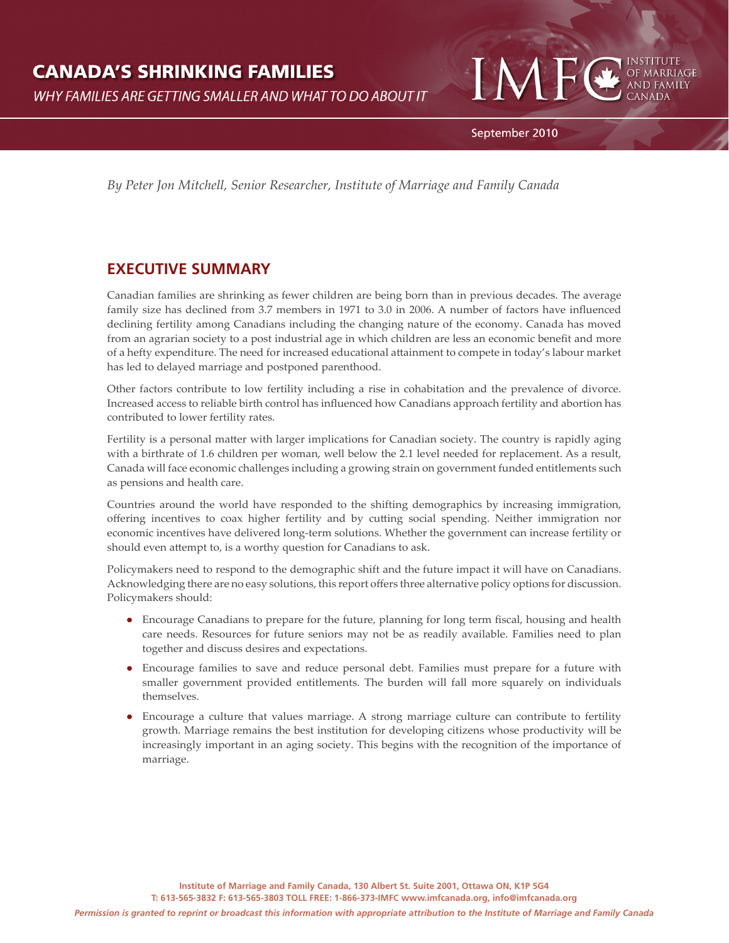# **CANADA'S SHRINKING FAMILIES**

**WHY FAMILIES ARE GETTING SMALLER AND WHAT TO DO ABOUT IT** 



IA

*By Peter Jon Mitchell, Senior Researcher, Institute of Marriage and Family Canada*

## **EXECUTIVE SUMMARY**

Canadian families are shrinking as fewer children are being born than in previous decades. The average family size has declined from 3.7 members in 1971 to 3.0 in 2006. A number of factors have influenced declining fertility among Canadians including the changing nature of the economy. Canada has moved from an agrarian society to a post industrial age in which children are less an economic benefit and more of a hefty expenditure. The need for increased educational attainment to compete in today's labour market has led to delayed marriage and postponed parenthood.

Other factors contribute to low fertility including a rise in cohabitation and the prevalence of divorce. Increased access to reliable birth control has influenced how Canadians approach fertility and abortion has contributed to lower fertility rates.

Fertility is a personal matter with larger implications for Canadian society. The country is rapidly aging with a birthrate of 1.6 children per woman, well below the 2.1 level needed for replacement. As a result, Canada will face economic challenges including a growing strain on government funded entitlements such as pensions and health care.

Countries around the world have responded to the shifting demographics by increasing immigration, offering incentives to coax higher fertility and by cutting social spending. Neither immigration nor economic incentives have delivered long-term solutions. Whether the government can increase fertility or should even attempt to, is a worthy question for Canadians to ask.

Policymakers need to respond to the demographic shift and the future impact it will have on Canadians. Acknowledging there are no easy solutions, this report offers three alternative policy options for discussion. Policymakers should:

- Encourage Canadians to prepare for the future, planning for long term fiscal, housing and health care needs. Resources for future seniors may not be as readily available. Families need to plan together and discuss desires and expectations.
- Encourage families to save and reduce personal debt. Families must prepare for a future with smaller government provided entitlements. The burden will fall more squarely on individuals themselves.
- Encourage a culture that values marriage. A strong marriage culture can contribute to fertility growth. Marriage remains the best institution for developing citizens whose productivity will be increasingly important in an aging society. This begins with the recognition of the importance of marriage.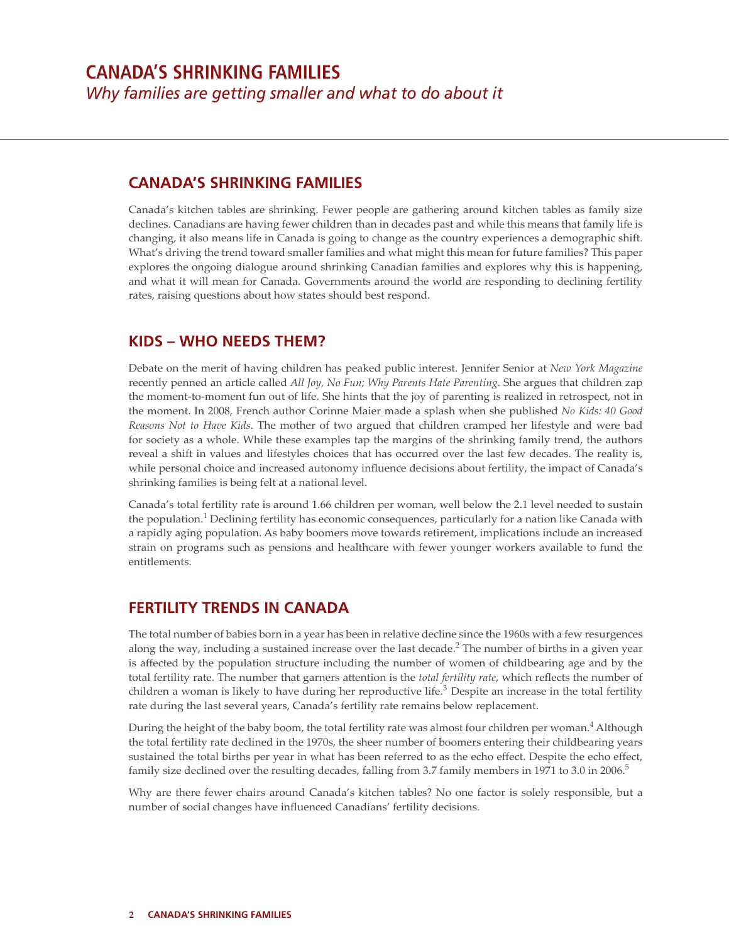### **CANADA'S SHRINKING FAMILIES**

Canada's kitchen tables are shrinking. Fewer people are gathering around kitchen tables as family size declines. Canadians are having fewer children than in decades past and while this means that family life is changing, it also means life in Canada is going to change as the country experiences a demographic shift. What's driving the trend toward smaller families and what might this mean for future families? This paper explores the ongoing dialogue around shrinking Canadian families and explores why this is happening, and what it will mean for Canada. Governments around the world are responding to declining fertility rates, raising questions about how states should best respond.

#### **KIDS – WHO NEEDS THEM?**

Debate on the merit of having children has peaked public interest. Jennifer Senior at *New York Magazine* recently penned an article called *All Joy, No Fun; Why Parents Hate Parenting.* She argues that children zap the moment-to-moment fun out of life. She hints that the joy of parenting is realized in retrospect, not in the moment. In 2008, French author Corinne Maier made a splash when she published *No Kids: 40 Good Reasons Not to Have Kids*. The mother of two argued that children cramped her lifestyle and were bad for society as a whole. While these examples tap the margins of the shrinking family trend, the authors reveal a shift in values and lifestyles choices that has occurred over the last few decades. The reality is, while personal choice and increased autonomy influence decisions about fertility, the impact of Canada's shrinking families is being felt at a national level.

Canada's total fertility rate is around 1.66 children per woman, well below the 2.1 level needed to sustain the population.<sup>1</sup> Declining fertility has economic consequences, particularly for a nation like Canada with a rapidly aging population. As baby boomers move towards retirement, implications include an increased strain on programs such as pensions and healthcare with fewer younger workers available to fund the entitlements.

### **FERTILITY TRENDS IN CANADA**

The total number of babies born in a year has been in relative decline since the 1960s with a few resurgences along the way, including a sustained increase over the last decade.<sup>2</sup> The number of births in a given year is affected by the population structure including the number of women of childbearing age and by the total fertility rate. The number that garners attention is the *total fertility rate*, which reflects the number of children a woman is likely to have during her reproductive life.<sup>3</sup> Despite an increase in the total fertility rate during the last several years, Canada's fertility rate remains below replacement.

During the height of the baby boom, the total fertility rate was almost four children per woman.<sup>4</sup> Although the total fertility rate declined in the 1970s, the sheer number of boomers entering their childbearing years sustained the total births per year in what has been referred to as the echo effect. Despite the echo effect, family size declined over the resulting decades, falling from 3.7 family members in 1971 to 3.0 in 2006.<sup>5</sup>

Why are there fewer chairs around Canada's kitchen tables? No one factor is solely responsible, but a number of social changes have influenced Canadians' fertility decisions.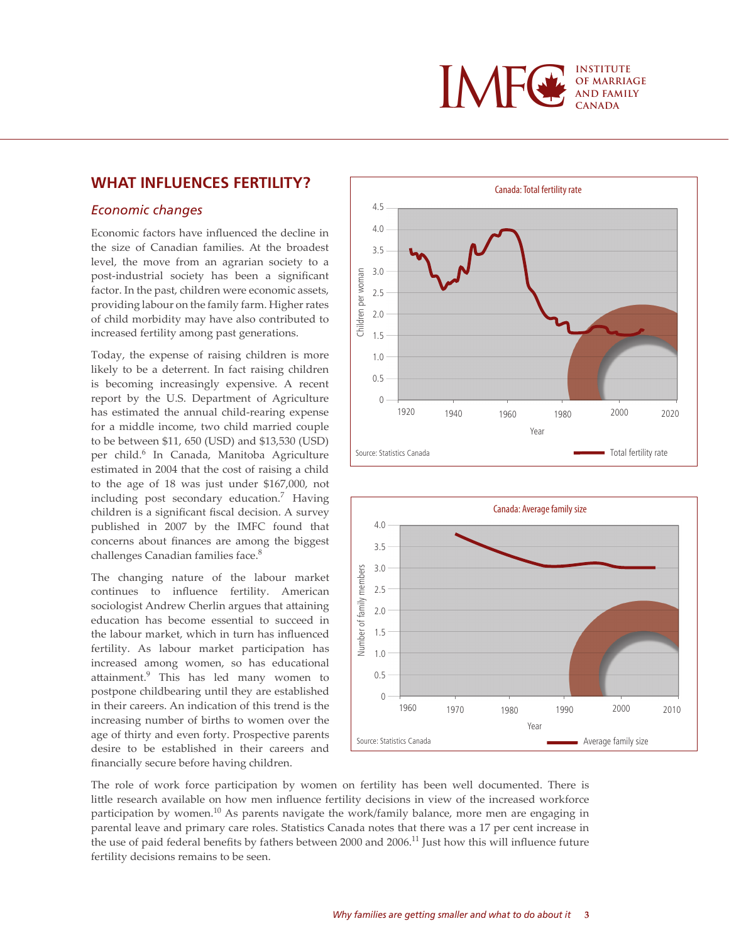

### **WHAT INFLUENCES FERTILITY?**

#### *Economic changes*

Economic factors have influenced the decline in the size of Canadian families. At the broadest level, the move from an agrarian society to a post-industrial society has been a significant factor. In the past, children were economic assets, providing labour on the family farm. Higher rates of child morbidity may have also contributed to increased fertility among past generations.

Today, the expense of raising children is more likely to be a deterrent. In fact raising children is becoming increasingly expensive. A recent report by the U.S. Department of Agriculture has estimated the annual child-rearing expense for a middle income, two child married couple to be between \$11, 650 (USD) and \$13,530 (USD) per child.<sup>6</sup> In Canada, Manitoba Agriculture estimated in 2004 that the cost of raising a child to the age of 18 was just under \$167,000, not including post secondary education.<sup>7</sup> Having children is a significant fiscal decision. A survey published in 2007 by the IMFC found that concerns about finances are among the biggest challenges Canadian families face.<sup>8</sup>

The changing nature of the labour market continues to influence fertility. American sociologist Andrew Cherlin argues that attaining education has become essential to succeed in the labour market, which in turn has influenced fertility. As labour market participation has increased among women, so has educational attainment.<sup>9</sup> This has led many women to postpone childbearing until they are established in their careers. An indication of this trend is the increasing number of births to women over the age of thirty and even forty. Prospective parents desire to be established in their careers and financially secure before having children.





The role of work force participation by women on fertility has been well documented. There is little research available on how men influence fertility decisions in view of the increased workforce participation by women.<sup>10</sup> As parents navigate the work/family balance, more men are engaging in parental leave and primary care roles. Statistics Canada notes that there was a 17 per cent increase in the use of paid federal benefits by fathers between 2000 and 2006.<sup>11</sup> Just how this will influence future fertility decisions remains to be seen.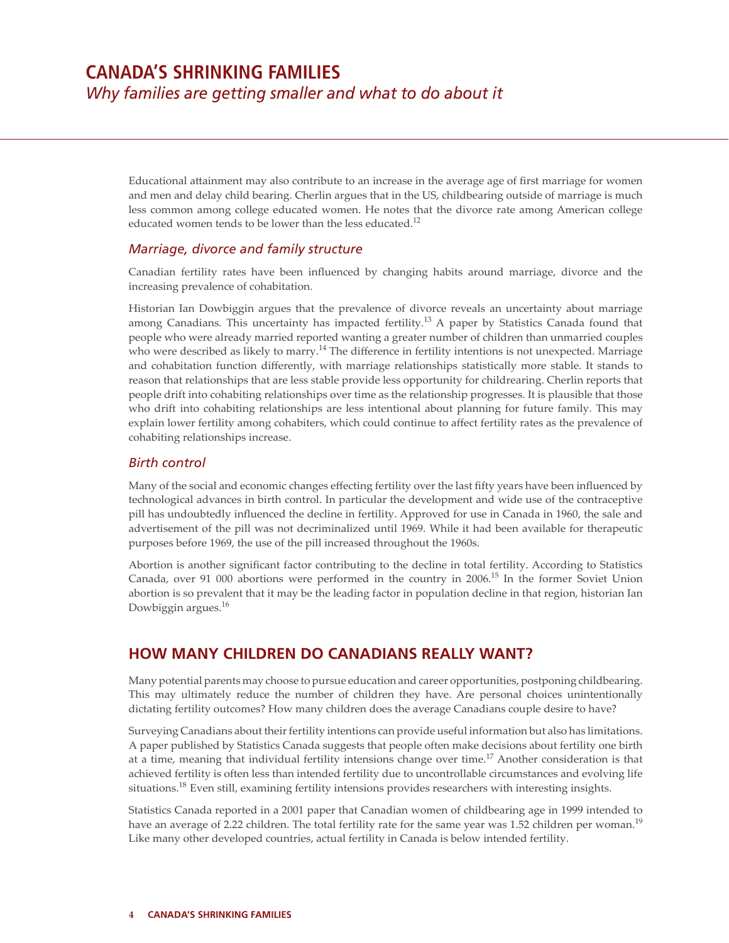Educational attainment may also contribute to an increase in the average age of first marriage for women and men and delay child bearing. Cherlin argues that in the US, childbearing outside of marriage is much less common among college educated women. He notes that the divorce rate among American college educated women tends to be lower than the less educated.<sup>12</sup>

#### *Marriage, divorce and family structure*

Canadian fertility rates have been influenced by changing habits around marriage, divorce and the increasing prevalence of cohabitation.

Historian Ian Dowbiggin argues that the prevalence of divorce reveals an uncertainty about marriage among Canadians. This uncertainty has impacted fertility.<sup>13</sup> A paper by Statistics Canada found that people who were already married reported wanting a greater number of children than unmarried couples who were described as likely to marry.<sup>14</sup> The difference in fertility intentions is not unexpected. Marriage and cohabitation function differently, with marriage relationships statistically more stable. It stands to reason that relationships that are less stable provide less opportunity for childrearing. Cherlin reports that people drift into cohabiting relationships over time as the relationship progresses. It is plausible that those who drift into cohabiting relationships are less intentional about planning for future family. This may explain lower fertility among cohabiters, which could continue to affect fertility rates as the prevalence of cohabiting relationships increase.

#### *Birth control*

Many of the social and economic changes effecting fertility over the last fifty years have been influenced by technological advances in birth control. In particular the development and wide use of the contraceptive pill has undoubtedly influenced the decline in fertility. Approved for use in Canada in 1960, the sale and advertisement of the pill was not decriminalized until 1969. While it had been available for therapeutic purposes before 1969, the use of the pill increased throughout the 1960s.

Abortion is another significant factor contributing to the decline in total fertility. According to Statistics Canada, over 91 000 abortions were performed in the country in 2006.15 In the former Soviet Union abortion is so prevalent that it may be the leading factor in population decline in that region, historian Ian Dowbiggin argues.<sup>16</sup>

## **HOW MANY CHILDREN DO CANADIANS REALLY WANT?**

Many potential parents may choose to pursue education and career opportunities, postponing childbearing. This may ultimately reduce the number of children they have. Are personal choices unintentionally dictating fertility outcomes? How many children does the average Canadians couple desire to have?

Surveying Canadians about their fertility intentions can provide useful information but also has limitations. A paper published by Statistics Canada suggests that people often make decisions about fertility one birth at a time, meaning that individual fertility intensions change over time.<sup>17</sup> Another consideration is that achieved fertility is often less than intended fertility due to uncontrollable circumstances and evolving life situations.<sup>18</sup> Even still, examining fertility intensions provides researchers with interesting insights.

Statistics Canada reported in a 2001 paper that Canadian women of childbearing age in 1999 intended to have an average of 2.22 children. The total fertility rate for the same year was 1.52 children per woman.<sup>19</sup> Like many other developed countries, actual fertility in Canada is below intended fertility.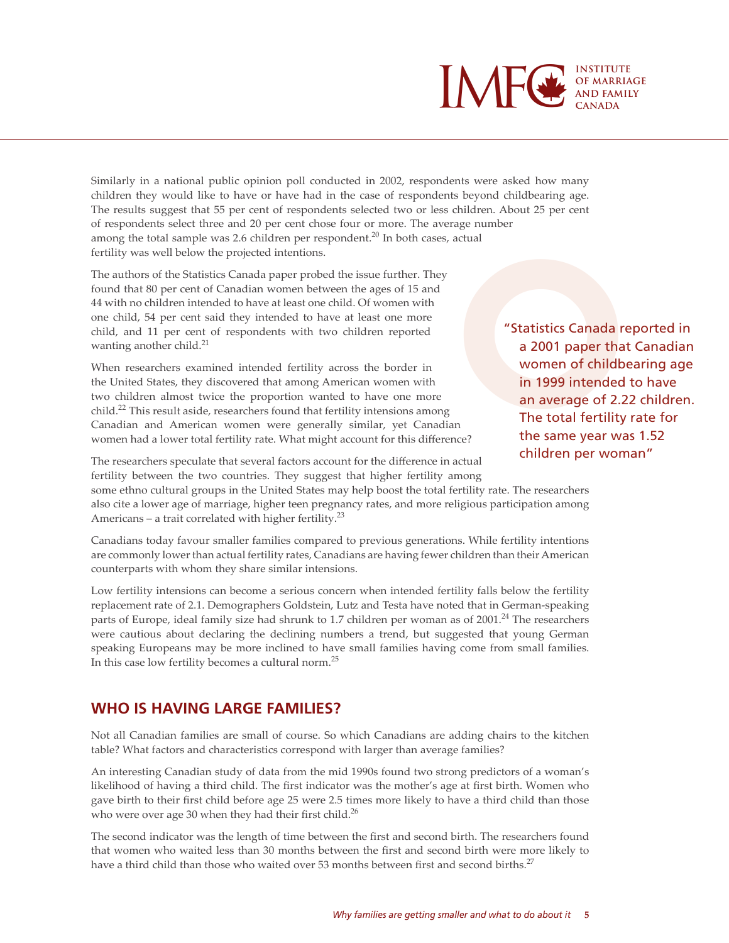

Similarly in a national public opinion poll conducted in 2002, respondents were asked how many children they would like to have or have had in the case of respondents beyond childbearing age. The results suggest that 55 per cent of respondents selected two or less children. About 25 per cent of respondents select three and 20 per cent chose four or more. The average number among the total sample was 2.6 children per respondent.<sup>20</sup> In both cases, actual fertility was well below the projected intentions.

The authors of the Statistics Canada paper probed the issue further. They found that 80 per cent of Canadian women between the ages of 15 and 44 with no children intended to have at least one child. Of women with one child, 54 per cent said they intended to have at least one more child, and 11 per cent of respondents with two children reported wanting another child. $^{21}$ 

When researchers examined intended fertility across the border in the United States, they discovered that among American women with two children almost twice the proportion wanted to have one more child.<sup>22</sup> This result aside, researchers found that fertility intensions among Canadian and American women were generally similar, yet Canadian women had a lower total fertility rate. What might account for this difference?

%, actual<br>
"Statistics Canada reported in<br>
a 2001 paper that Canadian<br>
women of childbearing age<br>
in 1999 intended to have<br>
an average of 2.22 children.<br>
The total fertility rate for<br>
the same year was 1.52 a 2001 paper that Canadian women of childbearing age in 1999 intended to have an average of 2.22 children. The total fertility rate for the same year was 1.52 children per woman"

The researchers speculate that several factors account for the difference in actual fertility between the two countries. They suggest that higher fertility among

some ethno cultural groups in the United States may help boost the total fertility rate. The researchers also cite a lower age of marriage, higher teen pregnancy rates, and more religious participation among Americans – a trait correlated with higher fertility.<sup>23</sup>

Canadians today favour smaller families compared to previous generations. While fertility intentions are commonly lower than actual fertility rates, Canadians are having fewer children than their American counterparts with whom they share similar intensions.

Low fertility intensions can become a serious concern when intended fertility falls below the fertility replacement rate of 2.1. Demographers Goldstein, Lutz and Testa have noted that in German-speaking parts of Europe, ideal family size had shrunk to 1.7 children per woman as of  $2001.^{24}$  The researchers were cautious about declaring the declining numbers a trend, but suggested that young German speaking Europeans may be more inclined to have small families having come from small families. In this case low fertility becomes a cultural norm.25

### **WHO IS HAVING LARGE FAMILIES?**

Not all Canadian families are small of course. So which Canadians are adding chairs to the kitchen table? What factors and characteristics correspond with larger than average families?

An interesting Canadian study of data from the mid 1990s found two strong predictors of a woman's likelihood of having a third child. The first indicator was the mother's age at first birth. Women who gave birth to their first child before age 25 were 2.5 times more likely to have a third child than those who were over age 30 when they had their first child.<sup>26</sup>

The second indicator was the length of time between the first and second birth. The researchers found that women who waited less than 30 months between the first and second birth were more likely to have a third child than those who waited over 53 months between first and second births.<sup>27</sup>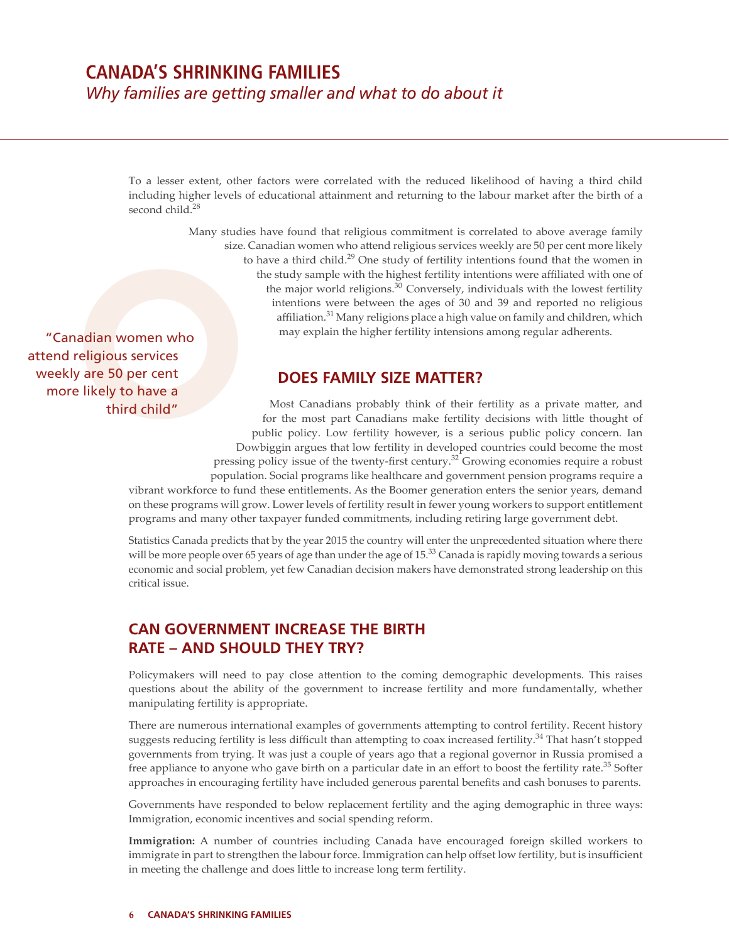To a lesser extent, other factors were correlated with the reduced likelihood of having a third child including higher levels of educational attainment and returning to the labour market after the birth of a second child.<sup>28</sup>

> Many studies have found that religious commitment is correlated to above average family size. Canadian women who attend religious services weekly are 50 per cent more likely to have a third child.<sup>29</sup> One study of fertility intentions found that the women in the study sample with the highest fertility intentions were affiliated with one of the major world religions.<sup>30</sup> Conversely, individuals with the lowest fertility intentions were between the ages of 30 and 39 and reported no religious affiliation.<sup>31</sup> Many religions place a high value on family and children, which may explain the higher fertility intensions among regular adherents.

> > **DOES FAMILY SIZE MATTER?**

Most Canadians probably think of their fertility as a private matter, and for the most part Canadians make fertility decisions with little thought of public policy. Low fertility however, is a serious public policy concern. Ian Dowbiggin argues that low fertility in developed countries could become the most

pressing policy issue of the twenty-first century.<sup>32</sup> Growing economies require a robust population. Social programs like healthcare and government pension programs require a

vibrant workforce to fund these entitlements. As the Boomer generation enters the senior years, demand on these programs will grow. Lower levels of fertility result in fewer young workers to support entitlement programs and many other taxpayer funded commitments, including retiring large government debt.

Statistics Canada predicts that by the year 2015 the country will enter the unprecedented situation where there will be more people over 65 years of age than under the age of  $15<sup>33</sup>$  Canada is rapidly moving towards a serious economic and social problem, yet few Canadian decision makers have demonstrated strong leadership on this critical issue.

### **CAN GOVERNMENT INCREASE THE BIRTH RATE – AND SHOULD THEY TRY?**

Policymakers will need to pay close attention to the coming demographic developments. This raises questions about the ability of the government to increase fertility and more fundamentally, whether manipulating fertility is appropriate.

There are numerous international examples of governments attempting to control fertility. Recent history suggests reducing fertility is less difficult than attempting to coax increased fertility.<sup>34</sup> That hasn't stopped governments from trying. It was just a couple of years ago that a regional governor in Russia promised a free appliance to anyone who gave birth on a particular date in an effort to boost the fertility rate.<sup>35</sup> Softer approaches in encouraging fertility have included generous parental benefits and cash bonuses to parents.

Governments have responded to below replacement fertility and the aging demographic in three ways: Immigration, economic incentives and social spending reform.

**Immigration:** A number of countries including Canada have encouraged foreign skilled workers to immigrate in part to strengthen the labour force. Immigration can help offset low fertility, but is insufficient in meeting the challenge and does little to increase long term fertility.

attend religious services weekly are 50 per cent "Canadian women who Size. C<br>
"Canadian women who<br>
end religious services<br>
reekly are 50 per cent<br>
more likely to have a<br>
third child"<br>
Dow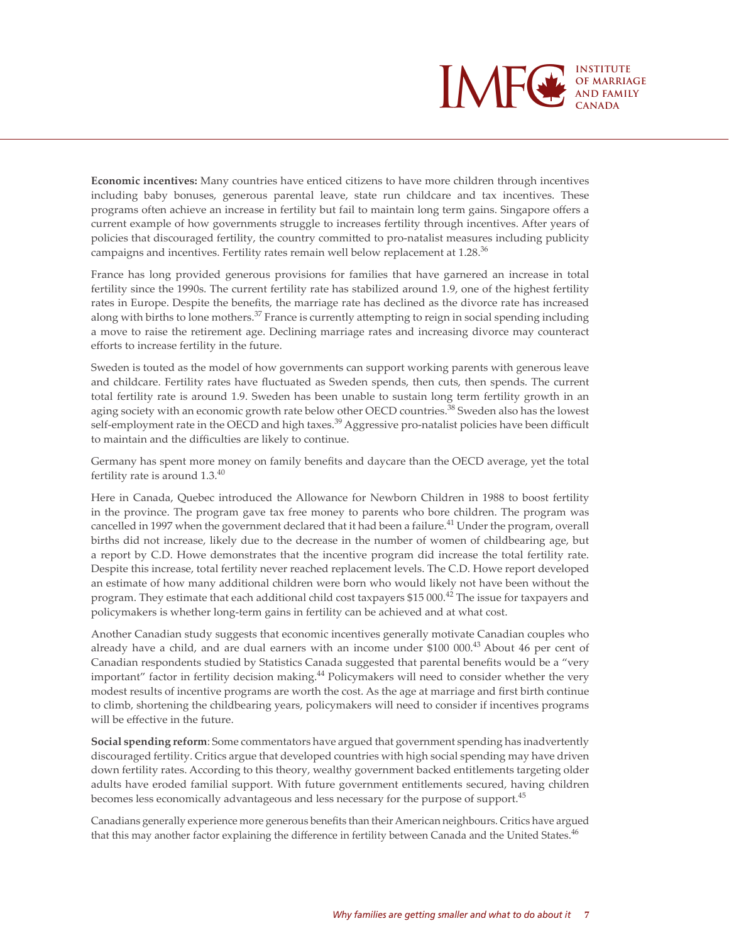

**Economic incentives:** Many countries have enticed citizens to have more children through incentives including baby bonuses, generous parental leave, state run childcare and tax incentives. These programs often achieve an increase in fertility but fail to maintain long term gains. Singapore offers a current example of how governments struggle to increases fertility through incentives. After years of policies that discouraged fertility, the country committed to pro-natalist measures including publicity campaigns and incentives. Fertility rates remain well below replacement at 1.28.<sup>36</sup>

France has long provided generous provisions for families that have garnered an increase in total fertility since the 1990s. The current fertility rate has stabilized around 1.9, one of the highest fertility rates in Europe. Despite the benefits, the marriage rate has declined as the divorce rate has increased along with births to lone mothers.<sup>37</sup> France is currently attempting to reign in social spending including a move to raise the retirement age. Declining marriage rates and increasing divorce may counteract efforts to increase fertility in the future.

Sweden is touted as the model of how governments can support working parents with generous leave and childcare. Fertility rates have fluctuated as Sweden spends, then cuts, then spends. The current total fertility rate is around 1.9. Sweden has been unable to sustain long term fertility growth in an aging society with an economic growth rate below other OECD countries.<sup>38</sup> Sweden also has the lowest self-employment rate in the OECD and high taxes.<sup>39</sup> Aggressive pro-natalist policies have been difficult to maintain and the difficulties are likely to continue.

Germany has spent more money on family benefits and daycare than the OECD average, yet the total fertility rate is around 1.3.<sup>40</sup>

Here in Canada, Quebec introduced the Allowance for Newborn Children in 1988 to boost fertility in the province. The program gave tax free money to parents who bore children. The program was cancelled in 1997 when the government declared that it had been a failure.<sup>41</sup> Under the program, overall births did not increase, likely due to the decrease in the number of women of childbearing age, but a report by C.D. Howe demonstrates that the incentive program did increase the total fertility rate. Despite this increase, total fertility never reached replacement levels. The C.D. Howe report developed an estimate of how many additional children were born who would likely not have been without the program. They estimate that each additional child cost taxpayers  $$15\,000.^{42}$  The issue for taxpayers and policymakers is whether long-term gains in fertility can be achieved and at what cost.

Another Canadian study suggests that economic incentives generally motivate Canadian couples who already have a child, and are dual earners with an income under \$100 000.43 About 46 per cent of Canadian respondents studied by Statistics Canada suggested that parental benefits would be a "very important" factor in fertility decision making.44 Policymakers will need to consider whether the very modest results of incentive programs are worth the cost. As the age at marriage and first birth continue to climb, shortening the childbearing years, policymakers will need to consider if incentives programs will be effective in the future.

**Social spending reform**: Some commentators have argued that government spending has inadvertently discouraged fertility. Critics argue that developed countries with high social spending may have driven down fertility rates. According to this theory, wealthy government backed entitlements targeting older adults have eroded familial support. With future government entitlements secured, having children becomes less economically advantageous and less necessary for the purpose of support.<sup>45</sup>

Canadians generally experience more generous benefits than their American neighbours. Critics have argued that this may another factor explaining the difference in fertility between Canada and the United States.<sup>46</sup>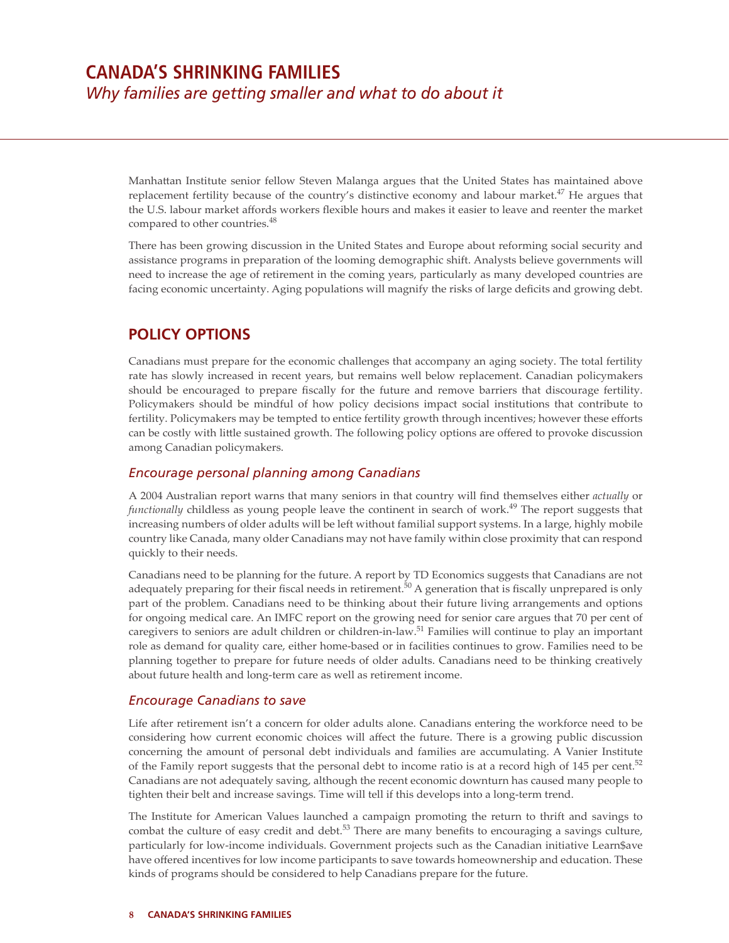Manhattan Institute senior fellow Steven Malanga argues that the United States has maintained above replacement fertility because of the country's distinctive economy and labour market. $47$  He argues that the U.S. labour market affords workers flexible hours and makes it easier to leave and reenter the market compared to other countries.<sup>48</sup>

There has been growing discussion in the United States and Europe about reforming social security and assistance programs in preparation of the looming demographic shift. Analysts believe governments will need to increase the age of retirement in the coming years, particularly as many developed countries are facing economic uncertainty. Aging populations will magnify the risks of large deficits and growing debt.

### **POLICY OPTIONS**

Canadians must prepare for the economic challenges that accompany an aging society. The total fertility rate has slowly increased in recent years, but remains well below replacement. Canadian policymakers should be encouraged to prepare fiscally for the future and remove barriers that discourage fertility. Policymakers should be mindful of how policy decisions impact social institutions that contribute to fertility. Policymakers may be tempted to entice fertility growth through incentives; however these efforts can be costly with little sustained growth. The following policy options are offered to provoke discussion among Canadian policymakers.

#### *Encourage personal planning among Canadians*

A 2004 Australian report warns that many seniors in that country will find themselves either *actually* or *functionally* childless as young people leave the continent in search of work.<sup>49</sup> The report suggests that increasing numbers of older adults will be left without familial support systems. In a large, highly mobile country like Canada, many older Canadians may not have family within close proximity that can respond quickly to their needs.

Canadians need to be planning for the future. A report by TD Economics suggests that Canadians are not adequately preparing for their fiscal needs in retirement.<sup>50</sup> A generation that is fiscally unprepared is only part of the problem. Canadians need to be thinking about their future living arrangements and options for ongoing medical care. An IMFC report on the growing need for senior care argues that 70 per cent of caregivers to seniors are adult children or children-in-law.51 Families will continue to play an important role as demand for quality care, either home-based or in facilities continues to grow. Families need to be planning together to prepare for future needs of older adults. Canadians need to be thinking creatively about future health and long-term care as well as retirement income.

#### *Encourage Canadians to save*

Life after retirement isn't a concern for older adults alone. Canadians entering the workforce need to be considering how current economic choices will affect the future. There is a growing public discussion concerning the amount of personal debt individuals and families are accumulating. A Vanier Institute of the Family report suggests that the personal debt to income ratio is at a record high of 145 per cent.<sup>52</sup> Canadians are not adequately saving, although the recent economic downturn has caused many people to tighten their belt and increase savings. Time will tell if this develops into a long-term trend.

The Institute for American Values launched a campaign promoting the return to thrift and savings to combat the culture of easy credit and debt.<sup>53</sup> There are many benefits to encouraging a savings culture, particularly for low-income individuals. Government projects such as the Canadian initiative Learn\$ave have offered incentives for low income participants to save towards homeownership and education. These kinds of programs should be considered to help Canadians prepare for the future.

#### **8 CANADA'S SHRINKING FAMILIES**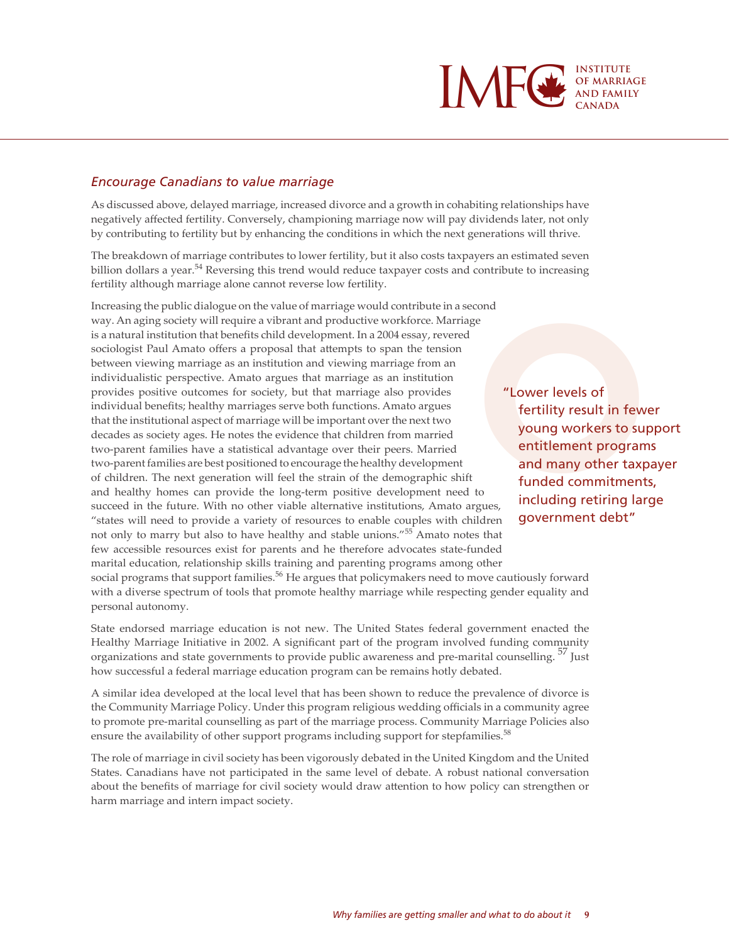

#### *Encourage Canadians to value marriage*

As discussed above, delayed marriage, increased divorce and a growth in cohabiting relationships have negatively affected fertility. Conversely, championing marriage now will pay dividends later, not only by contributing to fertility but by enhancing the conditions in which the next generations will thrive.

The breakdown of marriage contributes to lower fertility, but it also costs taxpayers an estimated seven billion dollars a year.<sup>54</sup> Reversing this trend would reduce taxpayer costs and contribute to increasing fertility although marriage alone cannot reverse low fertility.

Increasing the public dialogue on the value of marriage would contribute in a second way. An aging society will require a vibrant and productive workforce. Marriage is a natural institution that benefits child development. In a 2004 essay, revered sociologist Paul Amato offers a proposal that attempts to span the tension between viewing marriage as an institution and viewing marriage from an individualistic perspective. Amato argues that marriage as an institution provides positive outcomes for society, but that marriage also provides individual benefits; healthy marriages serve both functions. Amato argues that the institutional aspect of marriage will be important over the next two decades as society ages. He notes the evidence that children from married two-parent families have a statistical advantage over their peers. Married two-parent families are best positioned to encourage the healthy development of children. The next generation will feel the strain of the demographic shift and healthy homes can provide the long-term positive development need to succeed in the future. With no other viable alternative institutions, Amato argues, "states will need to provide a variety of resources to enable couples with children not only to marry but also to have healthy and stable unions."55 Amato notes that few accessible resources exist for parents and he therefore advocates state-funded marital education, relationship skills training and parenting programs among other

Example and the Muslim of Tertility result in fewer pound workers to supplement<br>the sult in fewer pound workers to supplement<br>the many other taxpared and many other taxpared funded commitments,<br>argues, including retiring l fertility result in fewer young workers to support entitlement programs and many other taxpayer funded commitments, including retiring large government debt"

social programs that support families.<sup>56</sup> He argues that policymakers need to move cautiously forward with a diverse spectrum of tools that promote healthy marriage while respecting gender equality and personal autonomy.

State endorsed marriage education is not new. The United States federal government enacted the Healthy Marriage Initiative in 2002. A significant part of the program involved funding community organizations and state governments to provide public awareness and pre-marital counselling.<sup>37</sup> Just how successful a federal marriage education program can be remains hotly debated.

A similar idea developed at the local level that has been shown to reduce the prevalence of divorce is the Community Marriage Policy. Under this program religious wedding officials in a community agree to promote pre-marital counselling as part of the marriage process. Community Marriage Policies also ensure the availability of other support programs including support for stepfamilies.<sup>58</sup>

The role of marriage in civil society has been vigorously debated in the United Kingdom and the United States. Canadians have not participated in the same level of debate. A robust national conversation about the benefits of marriage for civil society would draw attention to how policy can strengthen or harm marriage and intern impact society.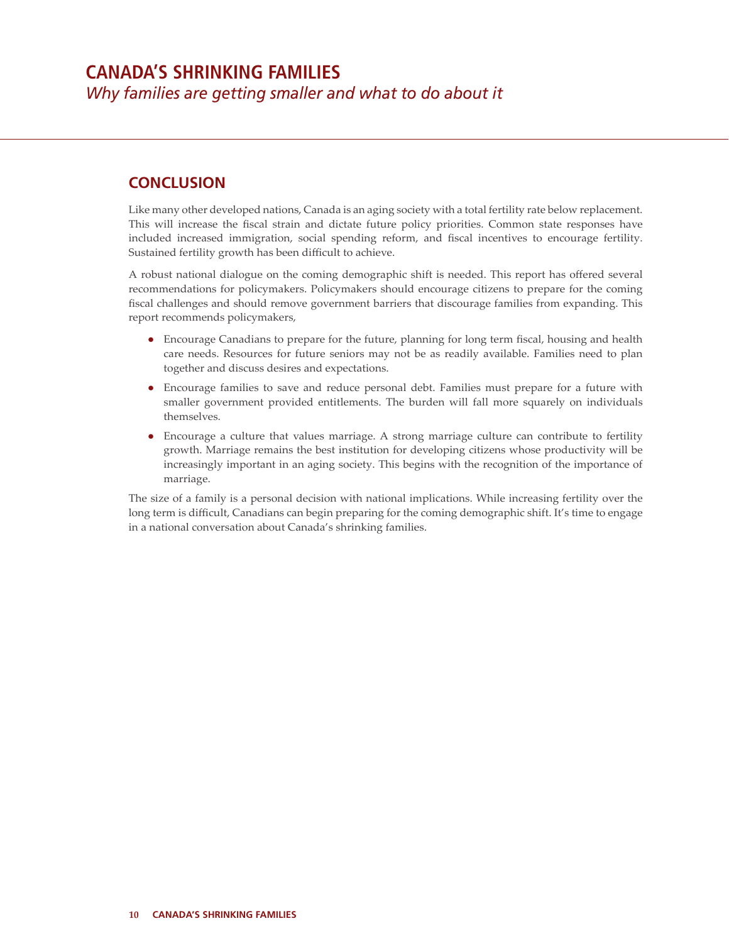## **CONCLUSION**

Like many other developed nations, Canada is an aging society with a total fertility rate below replacement. This will increase the fiscal strain and dictate future policy priorities. Common state responses have included increased immigration, social spending reform, and fiscal incentives to encourage fertility. Sustained fertility growth has been difficult to achieve.

A robust national dialogue on the coming demographic shift is needed. This report has offered several recommendations for policymakers. Policymakers should encourage citizens to prepare for the coming fiscal challenges and should remove government barriers that discourage families from expanding. This report recommends policymakers,

- Encourage Canadians to prepare for the future, planning for long term fiscal, housing and health care needs. Resources for future seniors may not be as readily available. Families need to plan together and discuss desires and expectations.
- Encourage families to save and reduce personal debt. Families must prepare for a future with smaller government provided entitlements. The burden will fall more squarely on individuals themselves.
- Encourage a culture that values marriage. A strong marriage culture can contribute to fertility growth. Marriage remains the best institution for developing citizens whose productivity will be increasingly important in an aging society. This begins with the recognition of the importance of marriage.

The size of a family is a personal decision with national implications. While increasing fertility over the long term is difficult, Canadians can begin preparing for the coming demographic shift. It's time to engage in a national conversation about Canada's shrinking families.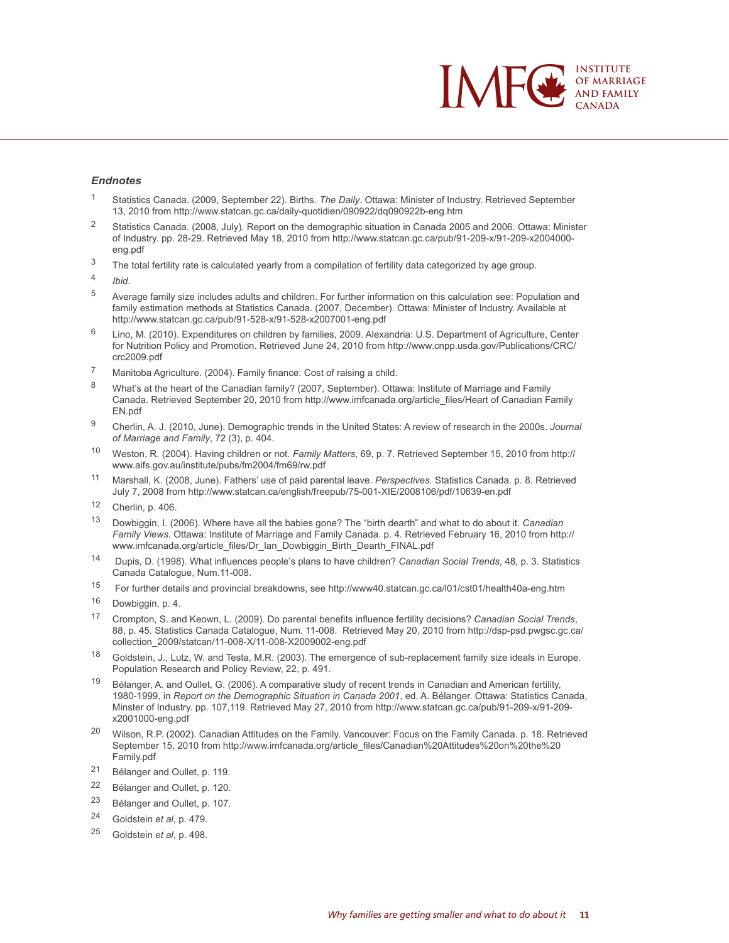

#### *Endnotes*

- <sup>1</sup> Statistics Canada. (2009, September 22). Births. *The Daily*. Ottawa: Minister of Industry. Retrieved September 13, 2010 from http://www.statcan.gc.ca/daily-quotidien/090922/dq090922b-eng.htm
- <sup>2</sup> Statistics Canada. (2008, July). Report on the demographic situation in Canada 2005 and 2006. Ottawa: Minister of Industry. pp. 28-29. Retrieved May 18, 2010 from http://www.statcan.gc.ca/pub/91-209-x/91-209-x2004000 eng.pdf
- <sup>3</sup> The total fertility rate is calculated yearly from a compilation of fertility data categorized by age group.
- <sup>4</sup> *Ibid*.
- <sup>5</sup> Average family size includes adults and children. For further information on this calculation see: Population and family estimation methods at Statistics Canada. (2007, December). Ottawa: Minister of Industry. Available at http://www.statcan.gc.ca/pub/91-528-x/91-528-x2007001-eng.pdf
- <sup>6</sup> Lino, M. (2010). Expenditures on children by families, 2009. Alexandria: U.S. Department of Agriculture, Center for Nutrition Policy and Promotion. Retrieved June 24, 2010 from http://www.cnpp.usda.gov/Publications/CRC/ crc2009.pdf
- <sup>7</sup> Manitoba Agriculture. (2004). Family finance: Cost of raising a child.
- 8 What's at the heart of the Canadian family? (2007, September). Ottawa: Institute of Marriage and Family Canada. Retrieved September 20, 2010 from http://www.imfcanada.org/article\_files/Heart of Canadian Family EN.pdf
- <sup>9</sup> Cherlin, A. J. (2010, June). Demographic trends in the United States: A review of research in the 2000s. *Journal of Marriage and Family*, 72 (3), p. 404.
- <sup>10</sup> Weston, R. (2004). Having children or not. *Family Matters*, 69, p. 7. Retrieved September 15, 2010 from http:// www.aifs.gov.au/institute/pubs/fm2004/fm69/rw.pdf
- <sup>11</sup> Marshall, K. (2008, June). Fathers' use of paid parental leave. *Perspectives.* Statistics Canada. p. 8. Retrieved July 7, 2008 from http://www.statcan.ca/english/freepub/75-001-XIE/2008106/pdf/10639-en.pdf
- <sup>12</sup> Cherlin, p. 406.
- <sup>13</sup> Dowbiggin, I. (2006). Where have all the babies gone? The "birth dearth" and what to do about it. *Canadian Family Views*. Ottawa: Institute of Marriage and Family Canada. p. 4. Retrieved February 16, 2010 from http:// www.imfcanada.org/article\_files/Dr\_Ian\_Dowbiggin\_Birth\_Dearth\_FINAL.pdf
- <sup>14</sup> Dupis, D. (1998). What influences people's plans to have children? *Canadian Social Trends*, 48, p. 3. Statistics Canada Catalogue, Num.11-008.
- <sup>15</sup> For further details and provincial breakdowns, see http://www40.statcan.gc.ca/l01/cst01/health40a-eng.htm
- <sup>16</sup> Dowbiggin, p. 4.
- <sup>17</sup> Crompton, S. and Keown, L. (2009). Do parental benefits influence fertility decisions? *Canadian Social Trends*, 88, p. 45. Statistics Canada Catalogue, Num. 11-008. Retrieved May 20, 2010 from http://dsp-psd.pwgsc.gc.ca/ collection\_2009/statcan/11-008-X/11-008-X2009002-eng.pdf
- <sup>18</sup> Goldstein, J., Lutz, W. and Testa, M.R. (2003). The emergence of sub-replacement family size ideals in Europe. Population Research and Policy Review, 22, p. 491.
- <sup>19</sup> Bélanger, A. and Oullet, G. (2006). A comparative study of recent trends in Canadian and American fertility, 1980-1999, in *Report on the Demographic Situation in Canada 2001*, ed. A. Bélanger. Ottawa: Statistics Canada, Minster of Industry. pp. 107,119. Retrieved May 27, 2010 from http://www.statcan.gc.ca/pub/91-209-x/91-209 x2001000-eng.pdf
- <sup>20</sup> Wilson, R.P. (2002). Canadian Attitudes on the Family. Vancouver: Focus on the Family Canada. p. 18. Retrieved September 15, 2010 from http://www.imfcanada.org/article\_files/Canadian%20Attitudes%20on%20the%20 Family.pdf
- <sup>21</sup> Bélanger and Oullet, p. 119.
- <sup>22</sup> Bélanger and Oullet, p. 120.
- <sup>23</sup> Bélanger and Oullet, p. 107.
- <sup>24</sup> Goldstein *et al*, p. 479.
- <sup>25</sup> Goldstein *et al*, p. 498.